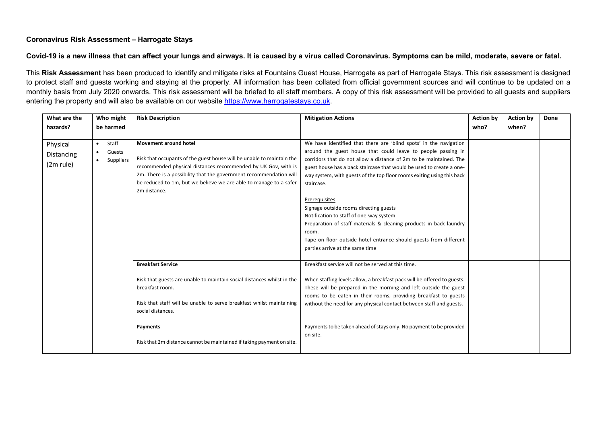## **Coronavirus Risk Assessment – Harrogate Stays**

## **Covid-19 is a new illness that can affect your lungs and airways. It is caused by a virus called Coronavirus. Symptoms can be mild, moderate, severe or fatal.**

This **Risk Assessment** has been produced to identify and mitigate risks at Fountains Guest House, Harrogate as part of Harrogate Stays. This risk assessment is designed to protect staff and guests working and staying at the property. All information has been collated from official government sources and will continue to be updated on a monthly basis from July 2020 onwards. This risk assessment will be briefed to all staff members. A copy of this risk assessment will be provided to all guests and suppliers entering the property and will also be available on our website https://www.harrogatestays.co.uk.

| What are the | Who might              | <b>Risk Description</b>                                                | <b>Mitigation Actions</b>                                               | <b>Action by</b> | <b>Action by</b> | Done |
|--------------|------------------------|------------------------------------------------------------------------|-------------------------------------------------------------------------|------------------|------------------|------|
| hazards?     | be harmed              |                                                                        |                                                                         | who?             | when?            |      |
|              |                        |                                                                        |                                                                         |                  |                  |      |
| Physical     | Staff<br>$\bullet$     | Movement around hotel                                                  | We have identified that there are 'blind spots' in the navigation       |                  |                  |      |
| Distancing   | Guests                 |                                                                        | around the guest house that could leave to people passing in            |                  |                  |      |
|              | Suppliers<br>$\bullet$ | Risk that occupants of the guest house will be unable to maintain the  | corridors that do not allow a distance of 2m to be maintained. The      |                  |                  |      |
| (2m rule)    |                        | recommended physical distances recommended by UK Gov, with is          | guest house has a back staircase that would be used to create a one-    |                  |                  |      |
|              |                        | 2m. There is a possibility that the government recommendation will     | way system, with guests of the top floor rooms exiting using this back  |                  |                  |      |
|              |                        | be reduced to 1m, but we believe we are able to manage to a safer      | staircase.                                                              |                  |                  |      |
|              |                        | 2m distance.                                                           |                                                                         |                  |                  |      |
|              |                        |                                                                        | Prerequisites                                                           |                  |                  |      |
|              |                        |                                                                        | Signage outside rooms directing guests                                  |                  |                  |      |
|              |                        |                                                                        | Notification to staff of one-way system                                 |                  |                  |      |
|              |                        |                                                                        | Preparation of staff materials & cleaning products in back laundry      |                  |                  |      |
|              |                        |                                                                        | room.                                                                   |                  |                  |      |
|              |                        |                                                                        | Tape on floor outside hotel entrance should guests from different       |                  |                  |      |
|              |                        |                                                                        | parties arrive at the same time                                         |                  |                  |      |
|              |                        |                                                                        |                                                                         |                  |                  |      |
|              |                        | <b>Breakfast Service</b>                                               | Breakfast service will not be served at this time.                      |                  |                  |      |
|              |                        |                                                                        |                                                                         |                  |                  |      |
|              |                        | Risk that guests are unable to maintain social distances whilst in the | When staffing levels allow, a breakfast pack will be offered to guests. |                  |                  |      |
|              |                        | breakfast room.                                                        | These will be prepared in the morning and left outside the guest        |                  |                  |      |
|              |                        |                                                                        | rooms to be eaten in their rooms, providing breakfast to guests         |                  |                  |      |
|              |                        | Risk that staff will be unable to serve breakfast whilst maintaining   | without the need for any physical contact between staff and guests.     |                  |                  |      |
|              |                        | social distances.                                                      |                                                                         |                  |                  |      |
|              |                        |                                                                        |                                                                         |                  |                  |      |
|              |                        | Payments                                                               | Payments to be taken ahead of stays only. No payment to be provided     |                  |                  |      |
|              |                        |                                                                        | on site.                                                                |                  |                  |      |
|              |                        | Risk that 2m distance cannot be maintained if taking payment on site.  |                                                                         |                  |                  |      |
|              |                        |                                                                        |                                                                         |                  |                  |      |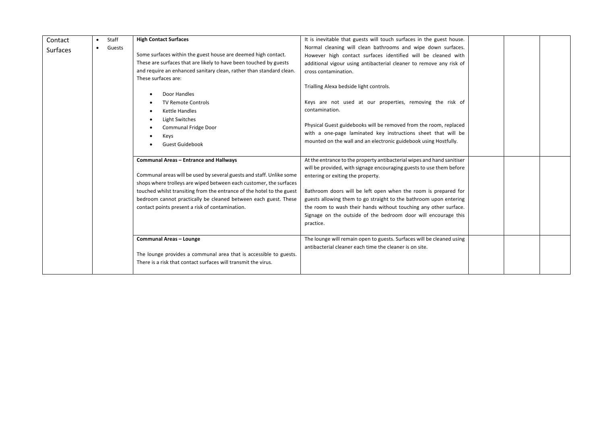| Contact  | Staff  | <b>High Contact Surfaces</b>                                          | It is inevitable that guests will touch surfaces in the guest house.   |  |
|----------|--------|-----------------------------------------------------------------------|------------------------------------------------------------------------|--|
| Surfaces | Guests |                                                                       | Normal cleaning will clean bathrooms and wipe down surfaces.           |  |
|          |        | Some surfaces within the guest house are deemed high contact.         | However high contact surfaces identified will be cleaned with          |  |
|          |        | These are surfaces that are likely to have been touched by guests     | additional vigour using antibacterial cleaner to remove any risk of    |  |
|          |        | and require an enhanced sanitary clean, rather than standard clean.   | cross contamination.                                                   |  |
|          |        | These surfaces are:                                                   |                                                                        |  |
|          |        |                                                                       | Trialling Alexa bedside light controls.                                |  |
|          |        | Door Handles<br>$\bullet$                                             |                                                                        |  |
|          |        | TV Remote Controls                                                    | Keys are not used at our properties, removing the risk of              |  |
|          |        | Kettle Handles                                                        | contamination.                                                         |  |
|          |        | Light Switches<br>$\bullet$                                           |                                                                        |  |
|          |        | Communal Fridge Door                                                  | Physical Guest guidebooks will be removed from the room, replaced      |  |
|          |        | Keys                                                                  | with a one-page laminated key instructions sheet that will be          |  |
|          |        | <b>Guest Guidebook</b>                                                | mounted on the wall and an electronic guidebook using Hostfully.       |  |
|          |        |                                                                       |                                                                        |  |
|          |        | <b>Communal Areas - Entrance and Hallways</b>                         | At the entrance to the property antibacterial wipes and hand sanitiser |  |
|          |        |                                                                       | will be provided, with signage encouraging guests to use them before   |  |
|          |        | Communal areas will be used by several guests and staff. Unlike some  | entering or exiting the property.                                      |  |
|          |        | shops where trolleys are wiped between each customer, the surfaces    |                                                                        |  |
|          |        | touched whilst transiting from the entrance of the hotel to the guest | Bathroom doors will be left open when the room is prepared for         |  |
|          |        | bedroom cannot practically be cleaned between each guest. These       | guests allowing them to go straight to the bathroom upon entering      |  |
|          |        | contact points present a risk of contamination.                       | the room to wash their hands without touching any other surface.       |  |
|          |        |                                                                       | Signage on the outside of the bedroom door will encourage this         |  |
|          |        |                                                                       | practice.                                                              |  |
|          |        |                                                                       |                                                                        |  |
|          |        | <b>Communal Areas - Lounge</b>                                        | The lounge will remain open to guests. Surfaces will be cleaned using  |  |
|          |        |                                                                       | antibacterial cleaner each time the cleaner is on site.                |  |
|          |        | The lounge provides a communal area that is accessible to guests.     |                                                                        |  |
|          |        | There is a risk that contact surfaces will transmit the virus.        |                                                                        |  |
|          |        |                                                                       |                                                                        |  |
|          |        |                                                                       |                                                                        |  |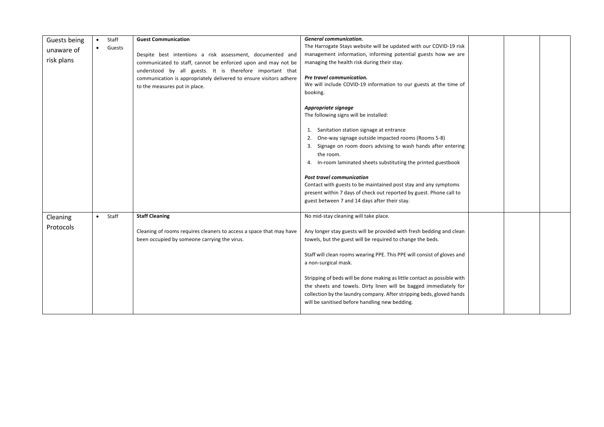| Guests being | $\bullet$ | Staff  | <b>Guest Communication</b>                                          | <b>General communication.</b>                                            |  |  |
|--------------|-----------|--------|---------------------------------------------------------------------|--------------------------------------------------------------------------|--|--|
|              | $\bullet$ | Guests |                                                                     | The Harrogate Stays website will be updated with our COVID-19 risk       |  |  |
| unaware of   |           |        | Despite best intentions a risk assessment, documented and           | management information, informing potential guests how we are            |  |  |
| risk plans   |           |        | communicated to staff, cannot be enforced upon and may not be       | managing the health risk during their stay.                              |  |  |
|              |           |        | understood by all guests. It is therefore important that            |                                                                          |  |  |
|              |           |        | communication is appropriately delivered to ensure visitors adhere  | Pre travel communication.                                                |  |  |
|              |           |        | to the measures put in place.                                       | We will include COVID-19 information to our guests at the time of        |  |  |
|              |           |        |                                                                     | booking.                                                                 |  |  |
|              |           |        |                                                                     |                                                                          |  |  |
|              |           |        |                                                                     | Appropriate signage<br>The following signs will be installed:            |  |  |
|              |           |        |                                                                     |                                                                          |  |  |
|              |           |        |                                                                     | 1. Sanitation station signage at entrance                                |  |  |
|              |           |        |                                                                     | 2. One-way signage outside impacted rooms (Rooms 5-8)                    |  |  |
|              |           |        |                                                                     | 3. Signage on room doors advising to wash hands after entering           |  |  |
|              |           |        |                                                                     | the room.                                                                |  |  |
|              |           |        |                                                                     | 4. In-room laminated sheets substituting the printed guestbook           |  |  |
|              |           |        |                                                                     |                                                                          |  |  |
|              |           |        |                                                                     | <b>Post travel communication</b>                                         |  |  |
|              |           |        |                                                                     | Contact with guests to be maintained post stay and any symptoms          |  |  |
|              |           |        |                                                                     | present within 7 days of check out reported by guest. Phone call to      |  |  |
|              |           |        |                                                                     | guest between 7 and 14 days after their stay.                            |  |  |
|              |           |        |                                                                     |                                                                          |  |  |
| Cleaning     |           | Staff  | <b>Staff Cleaning</b>                                               | No mid-stay cleaning will take place.                                    |  |  |
| Protocols    |           |        |                                                                     |                                                                          |  |  |
|              |           |        | Cleaning of rooms requires cleaners to access a space that may have | Any longer stay guests will be provided with fresh bedding and clean     |  |  |
|              |           |        | been occupied by someone carrying the virus.                        | towels, but the guest will be required to change the beds.               |  |  |
|              |           |        |                                                                     | Staff will clean rooms wearing PPE. This PPE will consist of gloves and  |  |  |
|              |           |        |                                                                     | a non-surgical mask.                                                     |  |  |
|              |           |        |                                                                     |                                                                          |  |  |
|              |           |        |                                                                     | Stripping of beds will be done making as little contact as possible with |  |  |
|              |           |        |                                                                     | the sheets and towels. Dirty linen will be bagged immediately for        |  |  |
|              |           |        |                                                                     | collection by the laundry company. After stripping beds, gloved hands    |  |  |
|              |           |        |                                                                     | will be sanitised before handling new bedding.                           |  |  |
|              |           |        |                                                                     |                                                                          |  |  |